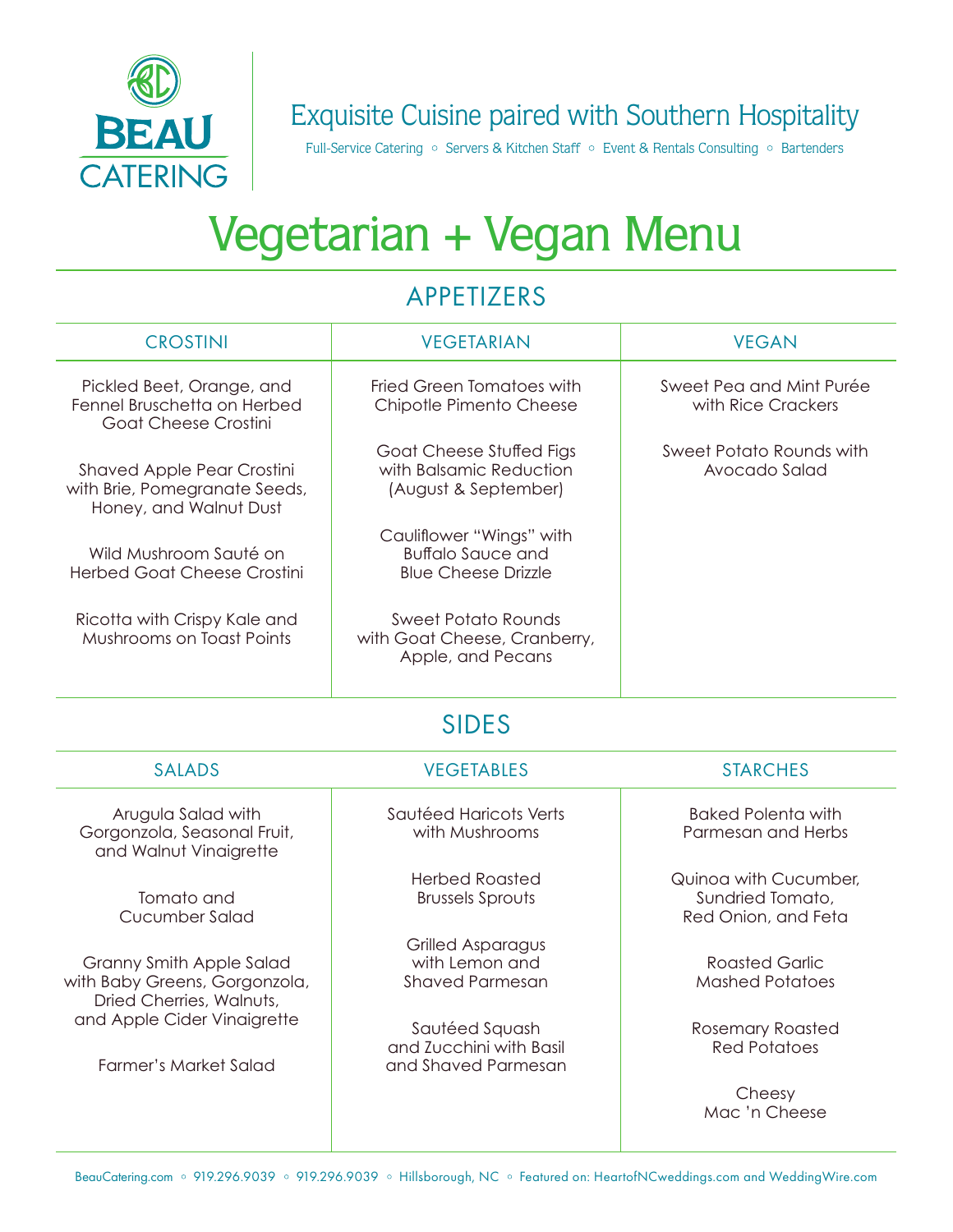

## Exquisite Cuisine paired with Southern Hospitality

Full-Service Catering • Servers & Kitchen Staff • Event & Rentals Consulting • Bartenders

# Vegetarian + Vegan Menu

### APPETIZERS

| <b>CROSTINI</b>                                                                              | <b>VEGETARIAN</b>                                                                  | <b>VEGAN</b>                                                     |
|----------------------------------------------------------------------------------------------|------------------------------------------------------------------------------------|------------------------------------------------------------------|
| Pickled Beet, Orange, and<br>Fennel Bruschetta on Herbed<br>Goat Cheese Crostini             | <b>Fried Green Tomatoes with</b><br>Chipotle Pimento Cheese                        | Sweet Pea and Mint Purée<br>with Rice Crackers                   |
| <b>Shaved Apple Pear Crostini</b><br>with Brie, Pomegranate Seeds,<br>Honey, and Walnut Dust | Goat Cheese Stuffed Figs<br>with Balsamic Reduction<br>(August & September)        | Sweet Potato Rounds with<br>Avocado Salad                        |
| Wild Mushroom Sauté on<br><b>Herbed Goat Cheese Crostini</b>                                 | Cauliflower "Wings" with<br><b>Buffalo Sauce and</b><br><b>Blue Cheese Drizzle</b> |                                                                  |
| Ricotta with Crispy Kale and<br>Mushrooms on Toast Points                                    | <b>Sweet Potato Rounds</b><br>with Goat Cheese, Cranberry,<br>Apple, and Pecans    |                                                                  |
| <b>SIDES</b>                                                                                 |                                                                                    |                                                                  |
| <b>SALADS</b>                                                                                | <b>VEGETABLES</b>                                                                  | <b>STARCHES</b>                                                  |
| Arugula Salad with<br>Gorgonzola, Seasonal Fruit,<br>and Walnut Vinaigrette                  | Sautéed Haricots Verts<br>with Mushrooms                                           | <b>Baked Polenta with</b><br>Parmesan and Herbs                  |
| Tomato and<br>Cucumber Salad                                                                 | <b>Herbed Roasted</b><br><b>Brussels Sprouts</b>                                   | Quinoa with Cucumber,<br>Sundried Tomato,<br>Red Onion, and Feta |
| Granny Smith Apple Salad<br>with Baby Greens, Gorgonzola,<br>Dried Cherries, Walnuts,        | <b>Grilled Asparagus</b><br>with Lemon and<br><b>Shaved Parmesan</b>               | <b>Roasted Garlic</b><br><b>Mashed Potatoes</b>                  |
| and Apple Cider Vinaigrette<br><b>Farmer's Market Salad</b>                                  | Sautéed Squash<br>and Zucchini with Basil<br>and Shaved Parmesan                   | <b>Rosemary Roasted</b><br><b>Red Potatoes</b>                   |
|                                                                                              |                                                                                    | Cheesy<br>Mac 'n Cheese                                          |